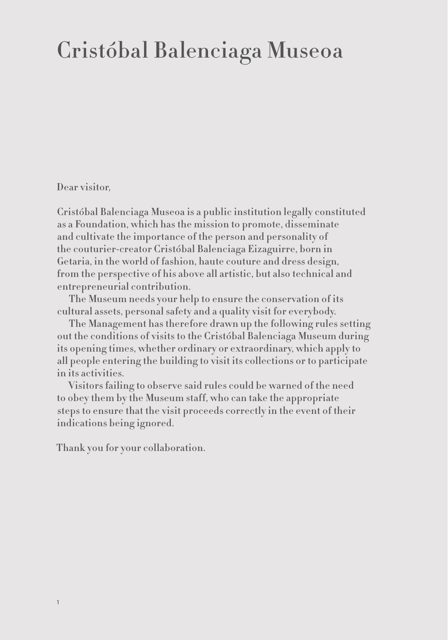### Cristóbal Balenciaga Museoa

Dear visitor,

Cristóbal Balenciaga Museoa is a public institution legally constituted as a Foundation, which has the mission to promote, disseminate and cultivate the importance of the person and personality of the couturier-creator Cristóbal Balenciaga Eizaguirre, born in Getaria, in the world of fashion, haute couture and dress design, from the perspective of his above all artistic, but also technical and entrepreneurial contribution.

The Museum needs your help to ensure the conservation of its cultural assets, personal safety and a quality visit for everybody.

The Management has therefore drawn up the following rules setting out the conditions of visits to the Cristóbal Balenciaga Museum during its opening times, whether ordinary or extraordinary, which apply to all people entering the building to visit its collections or to participate in its activities.

Visitors failing to observe said rules could be warned of the need to obey them by the Museum staff, who can take the appropriate steps to ensure that the visit proceeds correctly in the event of their indications being ignored.

Thank you for your collaboration.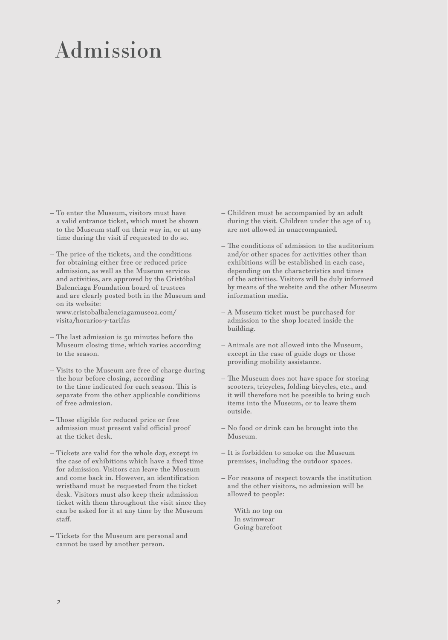## Admission

- To enter the Museum, visitors must have a valid entrance ticket, which must be shown to the Museum staff on their way in, or at any time during the visit if requested to do so.
- The price of the tickets, and the conditions for obtaining either free or reduced price admission, as well as the Museum services and activities, are approved by the Cristóbal Balenciaga Foundation board of trustees and are clearly posted both in the Museum and on its website: www.cristobalbalenciagamuseoa.com/ visita/horarios-y-tarifas
- The last admission is 30 minutes before the Museum closing time, which varies according to the season.
- Visits to the Museum are free of charge during the hour before closing, according to the time indicated for each season. This is separate from the other applicable conditions of free admission.
- Those eligible for reduced price or free admission must present valid official proof at the ticket desk.
- Tickets are valid for the whole day, except in the case of exhibitions which have a fixed time for admission. Visitors can leave the Museum and come back in. However, an identification wristband must be requested from the ticket desk. Visitors must also keep their admission ticket with them throughout the visit since they can be asked for it at any time by the Museum staff.
- Tickets for the Museum are personal and cannot be used by another person.
- Children must be accompanied by an adult during the visit. Children under the age of 14 are not allowed in unaccompanied.
- The conditions of admission to the auditorium and/or other spaces for activities other than exhibitions will be established in each case, depending on the characteristics and times of the activities. Visitors will be duly informed by means of the website and the other Museum information media.
- A Museum ticket must be purchased for admission to the shop located inside the building.
- Animals are not allowed into the Museum, except in the case of guide dogs or those providing mobility assistance.
- The Museum does not have space for storing scooters, tricycles, folding bicycles, etc., and it will therefore not be possible to bring such items into the Museum, or to leave them outside.
- No food or drink can be brought into the Museum.
- It is forbidden to smoke on the Museum premises, including the outdoor spaces.
- For reasons of respect towards the institution and the other visitors, no admission will be allowed to people:

With no top on In swimwear Going barefoot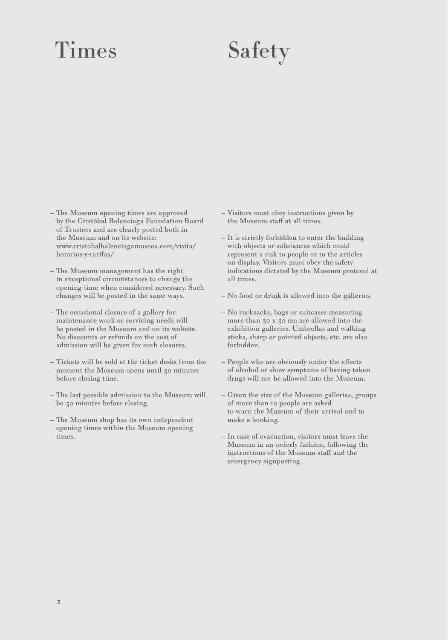# Times Safety

- The Museum opening times are approved by the Cristóbal Balenciaga Foundation Board of Trustees and are clearly posted both in the Museum and on its website: www.cristobalbalenciagamuseoa.com/visita/ horarios-y-tarifas/
- The Museum management has the right in exceptional circumstances to change the opening time when considered necessary. Such changes will be posted in the same ways.
- The occasional closure of a gallery for maintenance work or servicing needs will be posted in the Museum and on its website. No discounts or refunds on the cost of admission will be given for such closures.
- Tickets will be sold at the ticket desks from the moment the Museum opens until 30 minutes before closing time.
- The last possible admission to the Museum will be 30 minutes before closing.
- The Museum shop has its own independent opening times within the Museum opening times.
- Visitors must obey instructions given by the Museum staff at all times.
- It is strictly forbidden to enter the building with objects or substances which could represent a risk to people or to the articles on display. Visitors must obey the safety indications dictated by the Museum protocol at all times.
- No food or drink is allowed into the galleries.
- No rucksacks, bags or suitcases measuring more than 30 x 30 cm are allowed into the exhibition galleries. Umbrellas and walking sticks, sharp or pointed objects, etc. are also forbidden.
- People who are obviously under the effects of alcohol or show symptoms of having taken drugs will not be allowed into the Museum.
- Given the size of the Museum galleries, groups of more than 10 people are asked to warn the Museum of their arrival and to make a booking.
- In case of evacuation, visitors must leave the Museum in an orderly fashion, following the instructions of the Museum staff and the emergency signposting.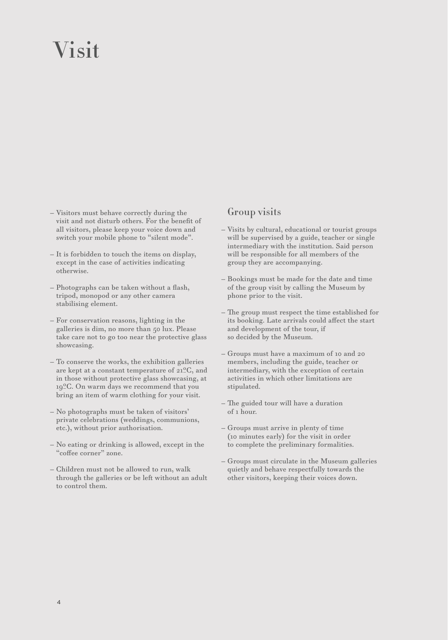## Visit

- Visitors must behave correctly during the visit and not disturb others. For the benefit of all visitors, please keep your voice down and switch your mobile phone to "silent mode".
- It is forbidden to touch the items on display, except in the case of activities indicating otherwise.
- Photographs can be taken without a flash, tripod, monopod or any other camera stabilising element.
- For conservation reasons, lighting in the galleries is dim, no more than 50 lux. Please take care not to go too near the protective glass showcasing.
- To conserve the works, the exhibition galleries are kept at a constant temperature of 21ºC, and in those without protective glass showcasing, at 19ºC. On warm days we recommend that you bring an item of warm clothing for your visit.
- No photographs must be taken of visitors' private celebrations (weddings, communions, etc.), without prior authorisation.
- No eating or drinking is allowed, except in the "coffee corner" zone.
- Children must not be allowed to run, walk through the galleries or be left without an adult to control them.

### Group visits

- Visits by cultural, educational or tourist groups will be supervised by a guide, teacher or single intermediary with the institution. Said person will be responsible for all members of the group they are accompanying.
- Bookings must be made for the date and time of the group visit by calling the Museum by phone prior to the visit.
- The group must respect the time established for its booking. Late arrivals could affect the start and development of the tour, if so decided by the Museum.
- Groups must have a maximum of 10 and 20 members, including the guide, teacher or intermediary, with the exception of certain activities in which other limitations are stipulated.
- The guided tour will have a duration of 1 hour.
- Groups must arrive in plenty of time (10 minutes early) for the visit in order to complete the preliminary formalities.
- Groups must circulate in the Museum galleries quietly and behave respectfully towards the other visitors, keeping their voices down.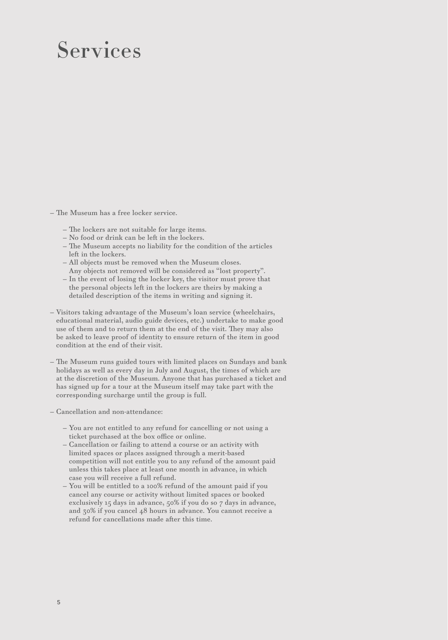### Services

— The Museum has a free locker service.

- The lockers are not suitable for large items.
- No food or drink can be left in the lockers.
- The Museum accepts no liability for the condition of the articles left in the lockers.
- All objects must be removed when the Museum closes. Any objects not removed will be considered as "lost property".
- In the event of losing the locker key, the visitor must prove that the personal objects left in the lockers are theirs by making a detailed description of the items in writing and signing it.
- Visitors taking advantage of the Museum's loan service (wheelchairs, educational material, audio guide devices, etc.) undertake to make good use of them and to return them at the end of the visit. They may also be asked to leave proof of identity to ensure return of the item in good condition at the end of their visit.
- The Museum runs guided tours with limited places on Sundays and bank holidays as well as every day in July and August, the times of which are at the discretion of the Museum. Anyone that has purchased a ticket and has signed up for a tour at the Museum itself may take part with the corresponding surcharge until the group is full.
- Cancellation and non-attendance:
	- You are not entitled to any refund for cancelling or not using a ticket purchased at the box office or online.
	- Cancellation or failing to attend a course or an activity with limited spaces or places assigned through a merit-based competition will not entitle you to any refund of the amount paid unless this takes place at least one month in advance, in which case you will receive a full refund.
	- You will be entitled to a 100% refund of the amount paid if you cancel any course or activity without limited spaces or booked exclusively 15 days in advance, 50% if you do so 7 days in advance, and 30% if you cancel 48 hours in advance. You cannot receive a refund for cancellations made after this time.